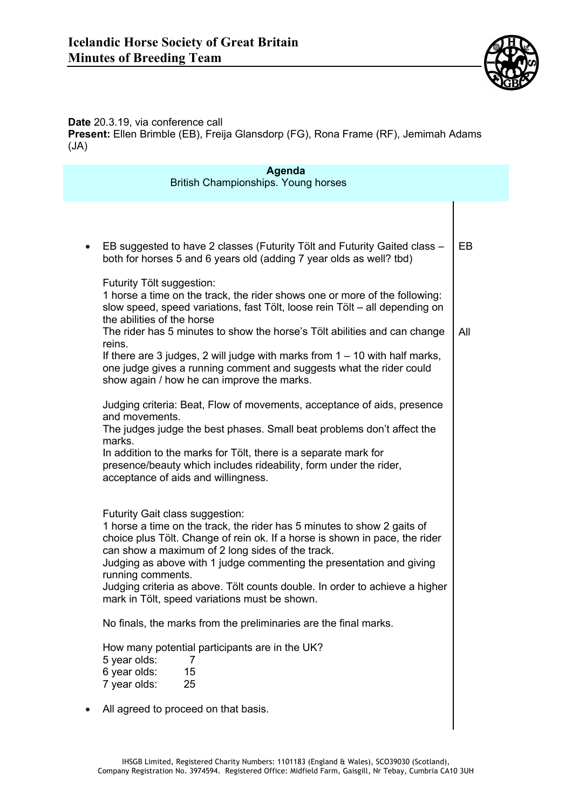

**Date** 20.3.19, via conference call **Present:** Ellen Brimble (EB), Freija Glansdorp (FG), Rona Frame (RF), Jemimah Adams (JA)

| Agenda<br>British Championships. Young horses |                                                                                                                                                                                                                                                                                                                                                                                                                                                                            |     |
|-----------------------------------------------|----------------------------------------------------------------------------------------------------------------------------------------------------------------------------------------------------------------------------------------------------------------------------------------------------------------------------------------------------------------------------------------------------------------------------------------------------------------------------|-----|
|                                               |                                                                                                                                                                                                                                                                                                                                                                                                                                                                            |     |
|                                               |                                                                                                                                                                                                                                                                                                                                                                                                                                                                            |     |
| $\bullet$                                     | EB suggested to have 2 classes (Futurity Tölt and Futurity Gaited class -<br>both for horses 5 and 6 years old (adding 7 year olds as well? tbd)                                                                                                                                                                                                                                                                                                                           | EB  |
|                                               | Futurity Tölt suggestion:<br>1 horse a time on the track, the rider shows one or more of the following:<br>slow speed, speed variations, fast Tölt, loose rein Tölt - all depending on<br>the abilities of the horse<br>The rider has 5 minutes to show the horse's Tölt abilities and can change<br>reins.                                                                                                                                                                | All |
|                                               | If there are 3 judges, 2 will judge with marks from $1 - 10$ with half marks,<br>one judge gives a running comment and suggests what the rider could<br>show again / how he can improve the marks.                                                                                                                                                                                                                                                                         |     |
|                                               | Judging criteria: Beat, Flow of movements, acceptance of aids, presence<br>and movements.<br>The judges judge the best phases. Small beat problems don't affect the<br>marks.<br>In addition to the marks for Tölt, there is a separate mark for<br>presence/beauty which includes rideability, form under the rider,<br>acceptance of aids and willingness.                                                                                                               |     |
|                                               | Futurity Gait class suggestion:<br>1 horse a time on the track, the rider has 5 minutes to show 2 gaits of<br>choice plus Tölt. Change of rein ok. If a horse is shown in pace, the rider<br>can show a maximum of 2 long sides of the track.<br>Judging as above with 1 judge commenting the presentation and giving<br>running comments.<br>Judging criteria as above. Tölt counts double. In order to achieve a higher<br>mark in Tölt, speed variations must be shown. |     |
|                                               | No finals, the marks from the preliminaries are the final marks.                                                                                                                                                                                                                                                                                                                                                                                                           |     |
|                                               | How many potential participants are in the UK?<br>5 year olds:<br>7<br>6 year olds:<br>15<br>7 year olds:<br>25                                                                                                                                                                                                                                                                                                                                                            |     |
|                                               | All agreed to proceed on that basis.                                                                                                                                                                                                                                                                                                                                                                                                                                       |     |